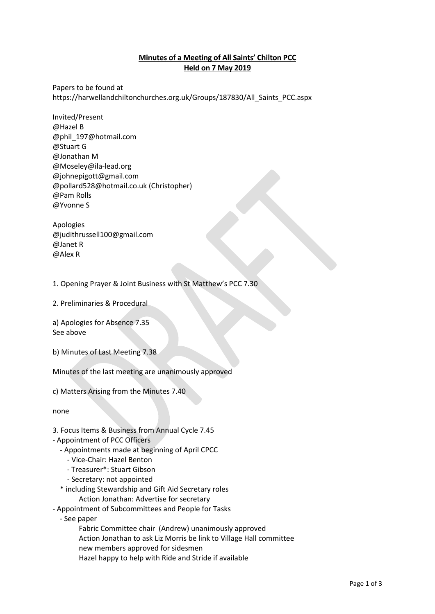## **Minutes of a Meeting of All Saints' Chilton PCC Held on 7 May 2019**

Papers to be found at https://harwellandchiltonchurches.org.uk/Groups/187830/All\_Saints\_PCC.aspx

Invited/Present @Hazel B @phil\_197@hotmail.com @Stuart G @Jonathan M @Moseley@ila-lead.org @johnepigott@gmail.com @pollard528@hotmail.co.uk (Christopher) @Pam Rolls @Yvonne S

Apologies @judithrussell100@gmail.com @Janet R @Alex R

1. Opening Prayer & Joint Business with St Matthew's PCC 7.30

2. Preliminaries & Procedural

a) Apologies for Absence 7.35 See above

b) Minutes of Last Meeting 7.38

Minutes of the last meeting are unanimously approved

c) Matters Arising from the Minutes 7.40

none

- 3. Focus Items & Business from Annual Cycle 7.45
- Appointment of PCC Officers
	- Appointments made at beginning of April CPCC
		- Vice-Chair: Hazel Benton
		- Treasurer\*: Stuart Gibson
		- Secretary: not appointed
	- \* including Stewardship and Gift Aid Secretary roles
		- Action Jonathan: Advertise for secretary
- Appointment of Subcommittees and People for Tasks
	- See paper

Fabric Committee chair (Andrew) unanimously approved

Action Jonathan to ask Liz Morris be link to Village Hall committee

- new members approved for sidesmen
- Hazel happy to help with Ride and Stride if available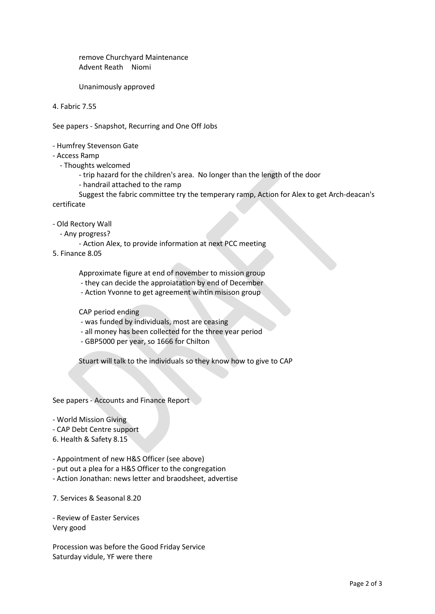remove Churchyard Maintenance Advent Reath Niomi

Unanimously approved

4. Fabric 7.55

See papers - Snapshot, Recurring and One Off Jobs

- Humfrey Stevenson Gate

- Access Ramp

- Thoughts welcomed
	- trip hazard for the children's area. No longer than the length of the door
	- handrail attached to the ramp

Suggest the fabric committee try the temperary ramp, Action for Alex to get Arch-deacan's certificate

- Old Rectory Wall

- Any progress?

- Action Alex, to provide information at next PCC meeting

5. Finance 8.05

Approximate figure at end of november to mission group

- they can decide the approiatation by end of December
- Action Yvonne to get agreement wihtin misison group

CAP period ending

- was funded by individuals, most are ceasing

- all money has been collected for the three year period

- GBP5000 per year, so 1666 for Chilton

Stuart will talk to the individuals so they know how to give to CAP

See papers - Accounts and Finance Report

- World Mission Giving

- CAP Debt Centre support

6. Health & Safety 8.15

- Appointment of new H&S Officer (see above)

- put out a plea for a H&S Officer to the congregation

- Action Jonathan: news letter and braodsheet, advertise

7. Services & Seasonal 8.20

- Review of Easter Services Very good

Procession was before the Good Friday Service Saturday vidule, YF were there